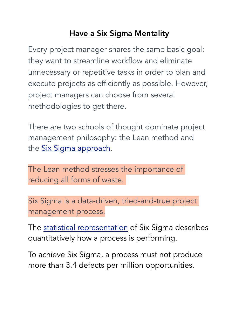## Have a Six Sigma Mentality

Every project manager shares the same basic goal: they want to streamline workflow and eliminate unnecessary or repetitive tasks in order to plan and execute projects as efficiently as possible. However, project managers can choose from several methodologies to get there.

There are two schools of thought dominate project management philosophy: the Lean method and the [Six Sigma approach.](https://www.lucidchart.com/blog/what-is-six-sigma-project-management-methodology)

The Lean method stresses the importance of reducing all forms of waste.

Six Sigma is a data-driven, tried-and-true project management process.

The [statistical representation](https://www.isixsigma.com/new-to-six-sigma/statistical-six-sigma-definition/) of Six Sigma describes quantitatively how a process is performing.

To achieve Six Sigma, a process must not produce more than 3.4 defects per million opportunities.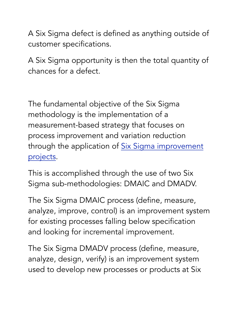A Six Sigma defect is defined as anything outside of customer specifications.

A Six Sigma opportunity is then the total quantity of chances for a defect.

The fundamental objective of the Six Sigma methodology is the implementation of a measurement-based strategy that focuses on process improvement and variation reduction through the application of Six Sigma improvement [projects](https://www.isixsigma.com/implementation/project-selection-tracking/).

This is accomplished through the use of two Six Sigma sub-methodologies: DMAIC and DMADV.

The Six Sigma DMAIC process (define, measure, analyze, improve, control) is an improvement system for existing processes falling below specification and looking for incremental improvement.

The Six Sigma DMADV process (define, measure, analyze, design, verify) is an improvement system used to develop new processes or products at Six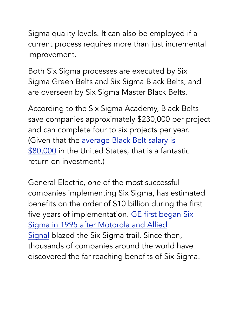Sigma quality levels. It can also be employed if a current process requires more than just incremental improvement.

Both Six Sigma processes are executed by Six Sigma Green Belts and Six Sigma Black Belts, and are overseen by Six Sigma Master Black Belts.

According to the Six Sigma Academy, Black Belts save companies approximately \$230,000 per project and can complete four to six projects per year. (Given that the [average Black Belt salary is](https://store.isixsigma.com/?orderby=date&s=salary+survey&post_type=product)  [\\$80,000](https://store.isixsigma.com/?orderby=date&s=salary+survey&post_type=product) in the United States, that is a fantastic return on investment.)

General Electric, one of the most successful companies implementing Six Sigma, has estimated benefits on the order of \$10 billion during the first five years of implementation. [GE first began Six](http://www.isixsigma.com/implementation/financial-analysis/six-sigma-costs-and-savings/)  [Sigma in 1995 after Motorola and Allied](http://www.isixsigma.com/implementation/financial-analysis/six-sigma-costs-and-savings/)  [Signal](http://www.isixsigma.com/implementation/financial-analysis/six-sigma-costs-and-savings/) blazed the Six Sigma trail. Since then, thousands of companies around the world have discovered the far reaching benefits of Six Sigma.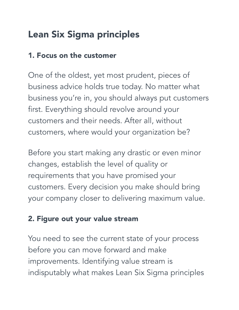# Lean Six Sigma principles

#### 1. Focus on the customer

One of the oldest, yet most prudent, pieces of business advice holds true today. No matter what business you're in, you should always put customers first. Everything should revolve around your customers and their needs. After all, without customers, where would your organization be?

Before you start making any drastic or even minor changes, establish the level of quality or requirements that you have promised your customers. Every decision you make should bring your company closer to delivering maximum value.

## 2. Figure out your value stream

You need to see the current state of your process before you can move forward and make improvements. Identifying value stream is indisputably what makes Lean Six Sigma principles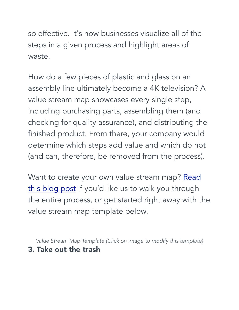so effective. It's how businesses visualize all of the steps in a given process and highlight areas of waste.

How do a few pieces of plastic and glass on an assembly line ultimately become a 4K television? A value stream map showcases every single step, including purchasing parts, assembling them (and checking for quality assurance), and distributing the finished product. From there, your company would determine which steps add value and which do not (and can, therefore, be removed from the process).

Want to create your own value stream map? Read [this blog post](https://www.lucidchart.com/blog/how-to-create-a-value-stream-map) if you'd like us to walk you through the entire process, or get started right away with the value stream map template below.

*Value Stream Map Template (Click on image to modify this template)* 3. Take out the trash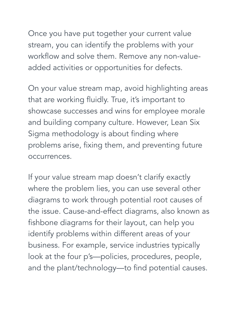Once you have put together your current value stream, you can identify the problems with your workflow and solve them. Remove any non-valueadded activities or opportunities for defects.

On your value stream map, avoid highlighting areas that are working fluidly. True, it's important to showcase successes and wins for employee morale and building company culture. However, Lean Six Sigma methodology is about finding where problems arise, fixing them, and preventing future occurrences.

If your value stream map doesn't clarify exactly where the problem lies, you can use several other diagrams to work through potential root causes of the issue. Cause-and-effect diagrams, also known as fishbone diagrams for their layout, can help you identify problems within different areas of your business. For example, service industries typically look at the four p's—policies, procedures, people, and the plant/technology—to find potential causes.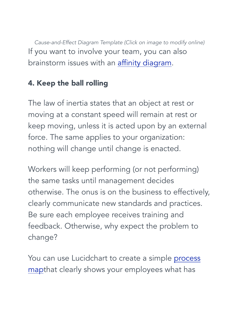*Cause-and-Effect Diagram Template (Click on image to modify online)* If you want to involve your team, you can also brainstorm issues with an *affinity diagram*.

## 4. Keep the ball rolling

The law of inertia states that an object at rest or moving at a constant speed will remain at rest or keep moving, unless it is acted upon by an external force. The same applies to your organization: nothing will change until change is enacted.

Workers will keep performing (or not performing) the same tasks until management decides otherwise. The onus is on the business to effectively, clearly communicate new standards and practices. Be sure each employee receives training and feedback. Otherwise, why expect the problem to change?

You can use Lucidchart to create a simple process [mapt](https://www.lucidchart.com/blog/six-sigma-process-mapping)hat clearly shows your employees what has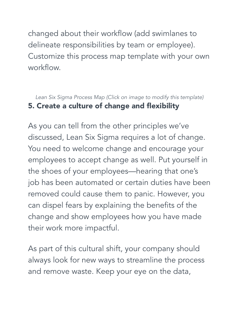changed about their workflow (add swimlanes to delineate responsibilities by team or employee). Customize this process map template with your own workflow.

*Lean Six Sigma Process Map (Click on image to modify this template)* 5. Create a culture of change and flexibility

As you can tell from the other principles we've discussed, Lean Six Sigma requires a lot of change. You need to welcome change and encourage your employees to accept change as well. Put yourself in the shoes of your employees—hearing that one's job has been automated or certain duties have been removed could cause them to panic. However, you can dispel fears by explaining the benefits of the change and show employees how you have made their work more impactful.

As part of this cultural shift, your company should always look for new ways to streamline the process and remove waste. Keep your eye on the data,